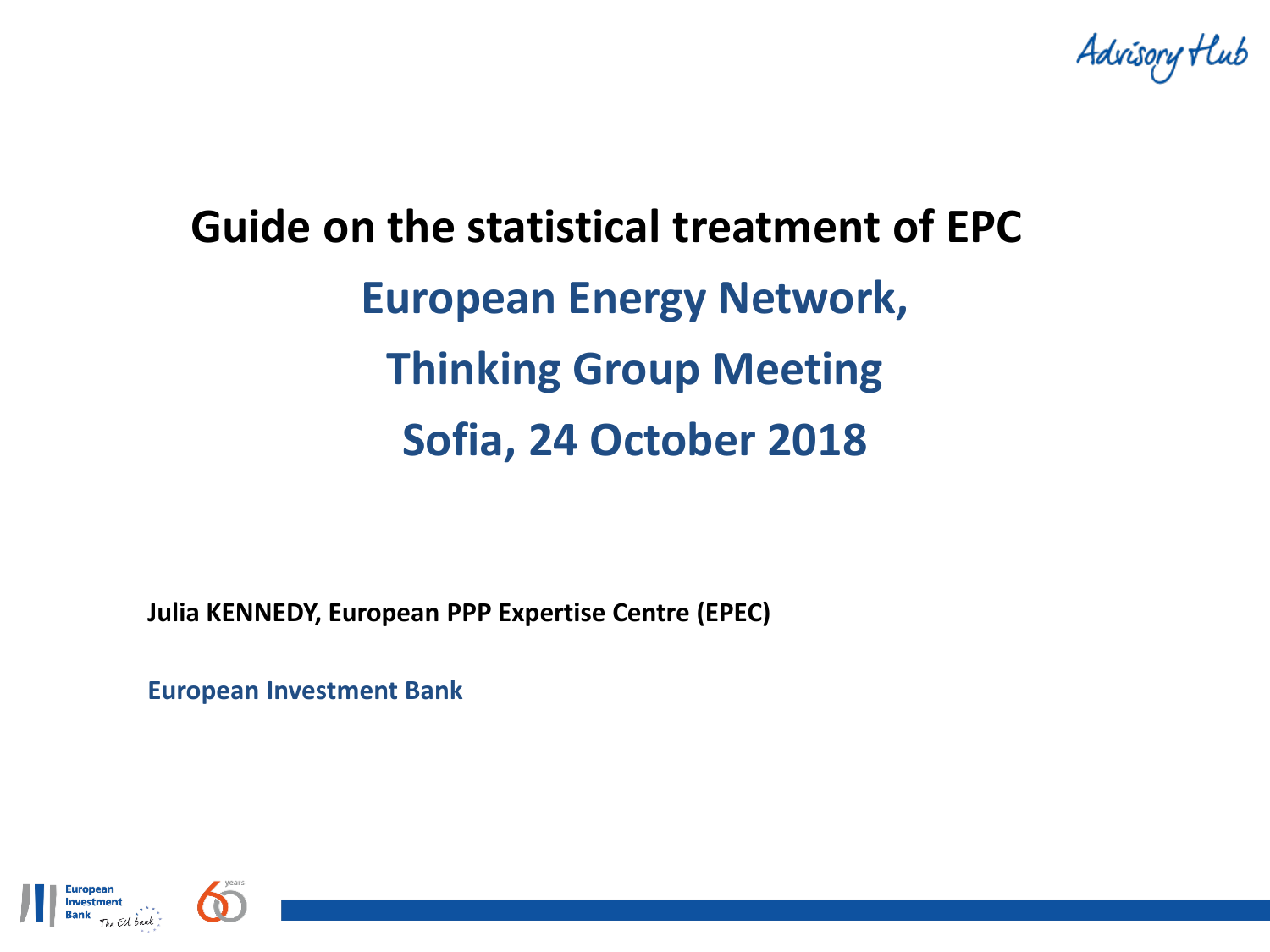Advisory Hub

# **Guide on the statistical treatment of EPC European Energy Network, Thinking Group Meeting Sofia, 24 October 2018**

**Julia KENNEDY, European PPP Expertise Centre (EPEC)**

**European Investment Bank**



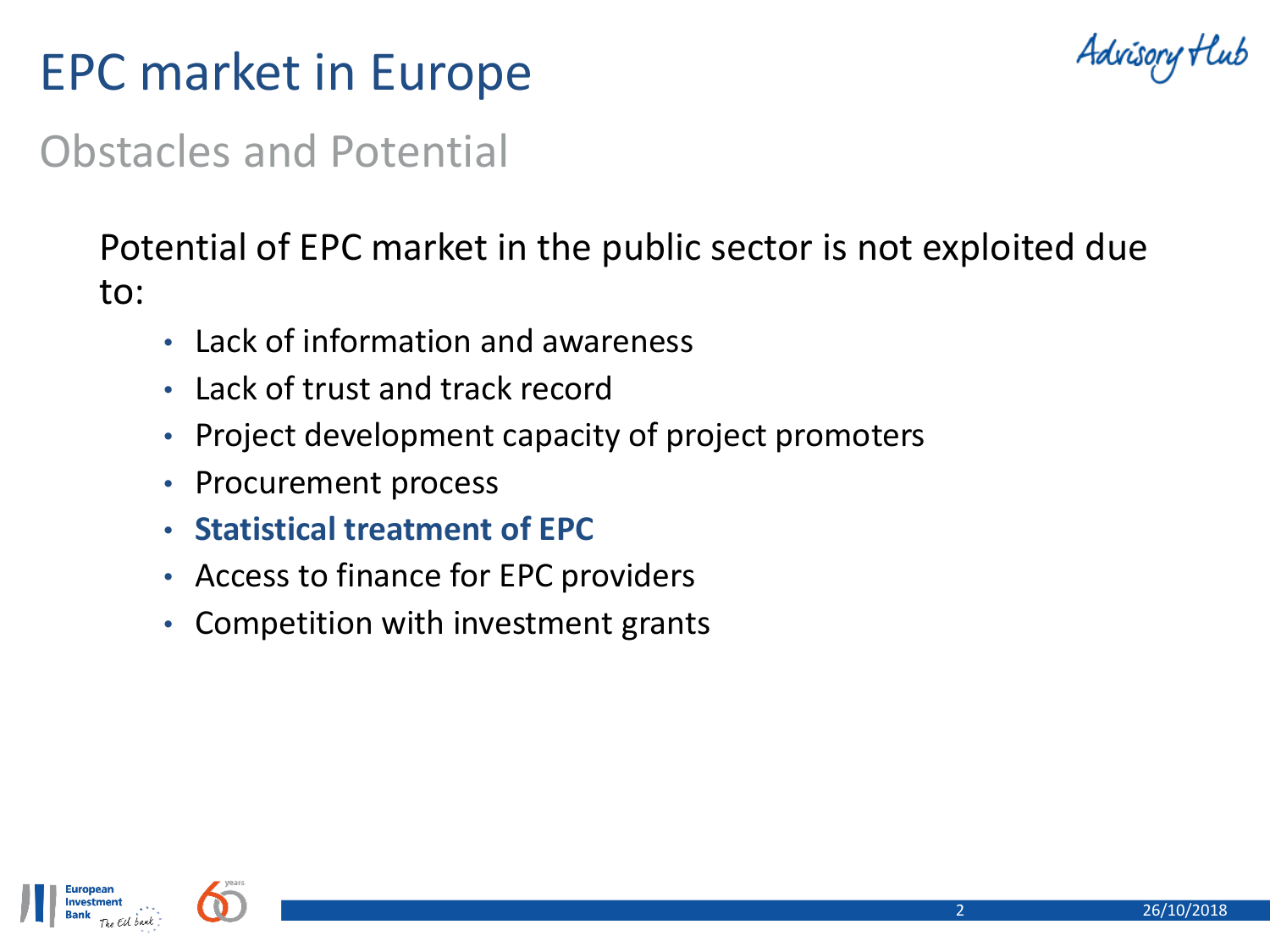## EPC market in Europe

Advisory Hu

### Obstacles and Potential

### Potential of EPC market in the public sector is not exploited due to:

- Lack of information and awareness
- Lack of trust and track record
- Project development capacity of project promoters
- Procurement process
- **Statistical treatment of EPC**
- Access to finance for EPC providers
- Competition with investment grants

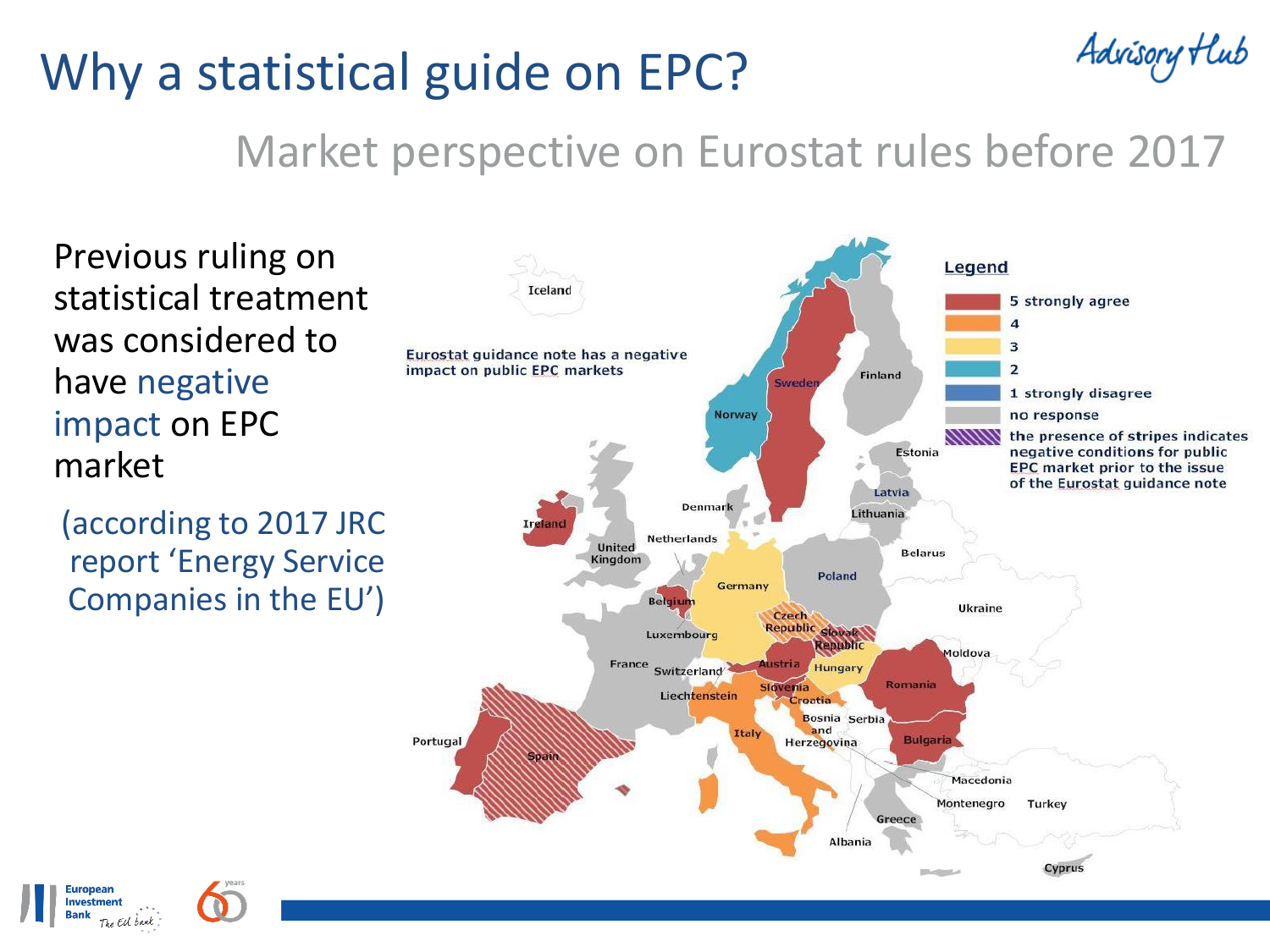## Why a statistical guide on EPC?

Advisory Hub

### Market perspective on Eurostat rules before 2017

Previous ruling on statistical treatment was considered to have negative impact on EPC market

(according to 2017 JRC report 'Energy Service Companies in the EU')



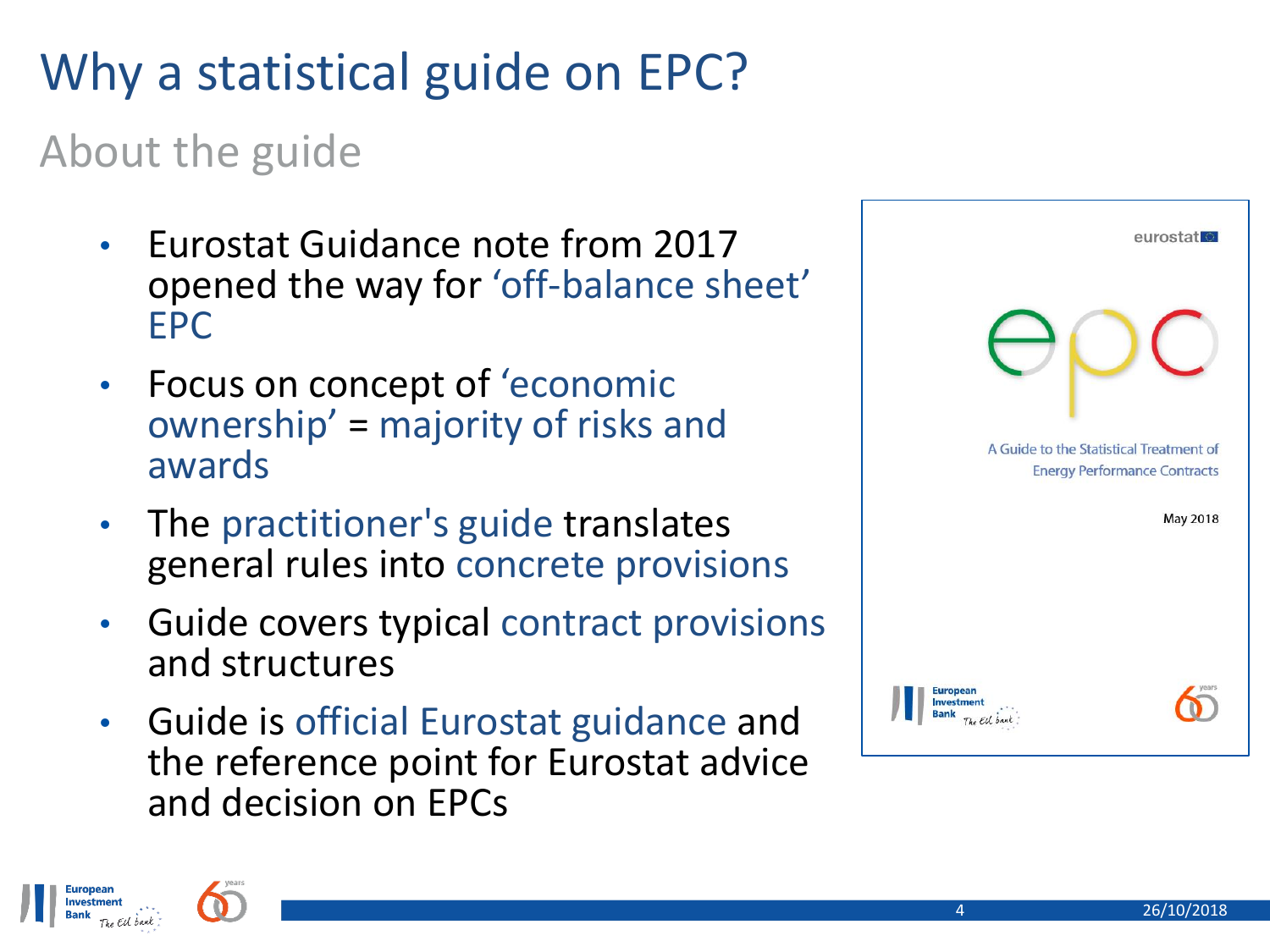## Why a statistical guide on EPC?

### About the guide

- Eurostat Guidance note from 2017 opened the way for 'off-balance sheet' EPC
- Focus on concept of 'economic ownership' = majority of risks and awards
- The practitioner's guide translates general rules into concrete provisions
- Guide covers typical contract provisions and structures
- Guide is official Eurostat guidance and the reference point for Eurostat advice and decision on EPCs

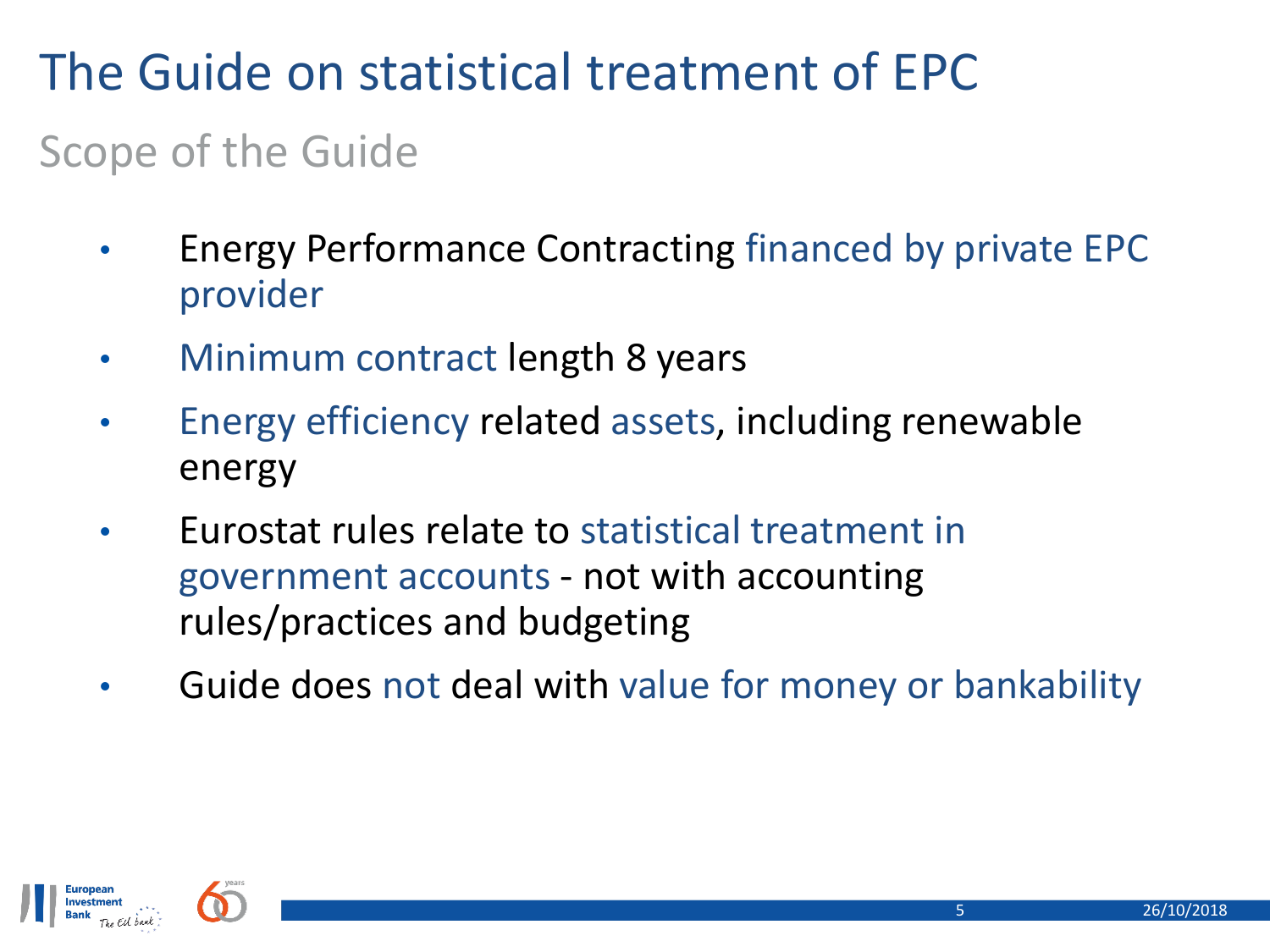## The Guide on statistical treatment of EPC

### Scope of the Guide

- Energy Performance Contracting financed by private EPC provider
- Minimum contract length 8 years
- Energy efficiency related assets, including renewable energy
- Eurostat rules relate to statistical treatment in government accounts - not with accounting rules/practices and budgeting
- Guide does not deal with value for money or bankability

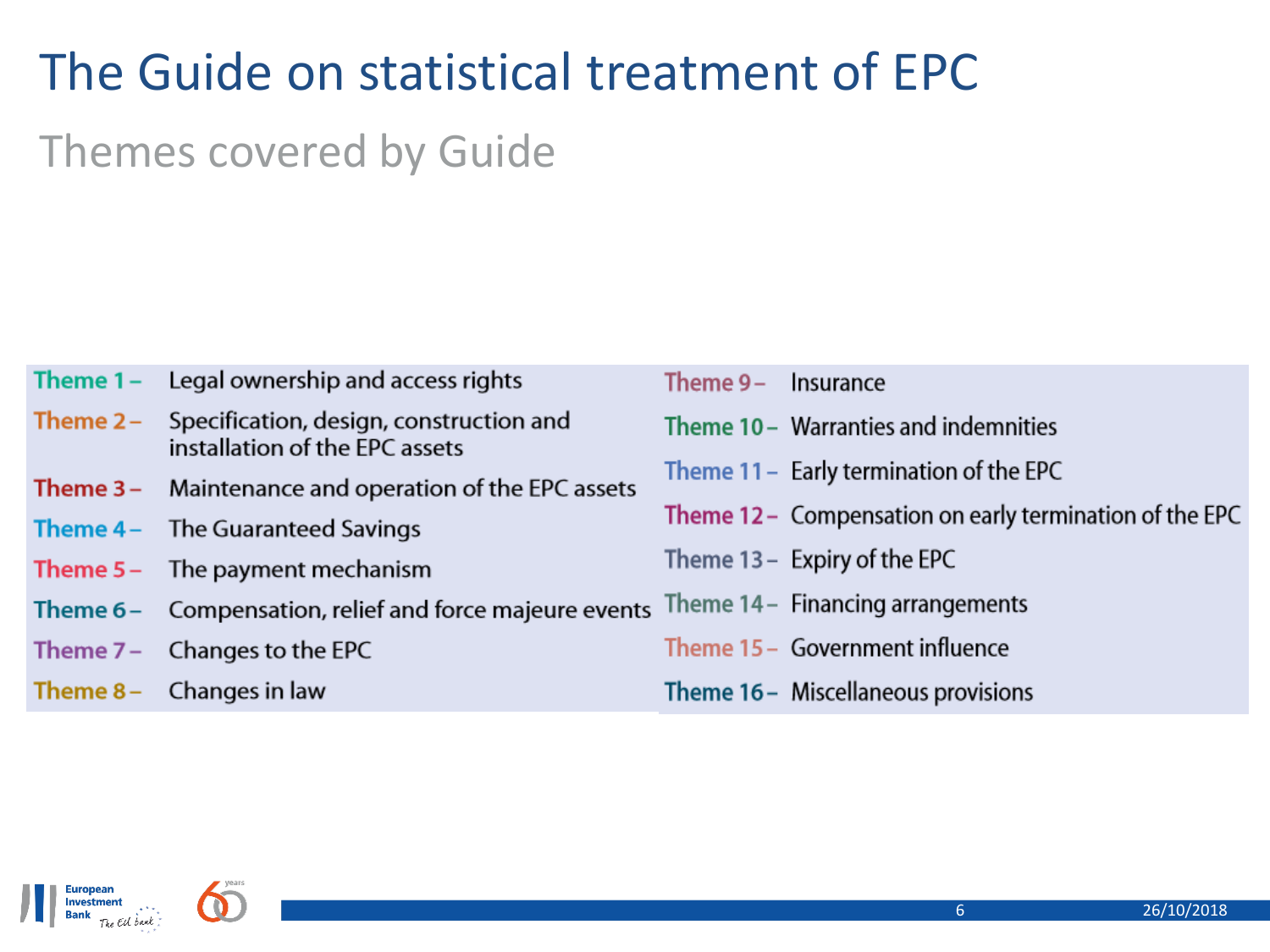## The Guide on statistical treatment of EPC

### Themes covered by Guide

| Theme 1 – | Legal ownership and access rights                                         | Theme 9 – | Insurance                                               |
|-----------|---------------------------------------------------------------------------|-----------|---------------------------------------------------------|
| Theme 2 – | Specification, design, construction and<br>installation of the EPC assets |           | Theme 10 – Warranties and indemnities                   |
| Theme 3 – | Maintenance and operation of the EPC assets                               |           | Theme 11 - Early termination of the EPC                 |
| Theme 4 – | The Guaranteed Savings                                                    |           | Theme 12 - Compensation on early termination of the EPC |
| Theme 5 – | The payment mechanism                                                     |           | Theme $13 -$ Expiry of the EPC                          |
|           | Theme 6 - Compensation, relief and force majeure events                   |           | Theme 14 – Financing arrangements                       |
|           | Theme $7-$ Changes to the EPC                                             |           | Theme 15 - Government influence                         |
| Theme 8 – | Changes in law                                                            |           | Theme 16 - Miscellaneous provisions                     |

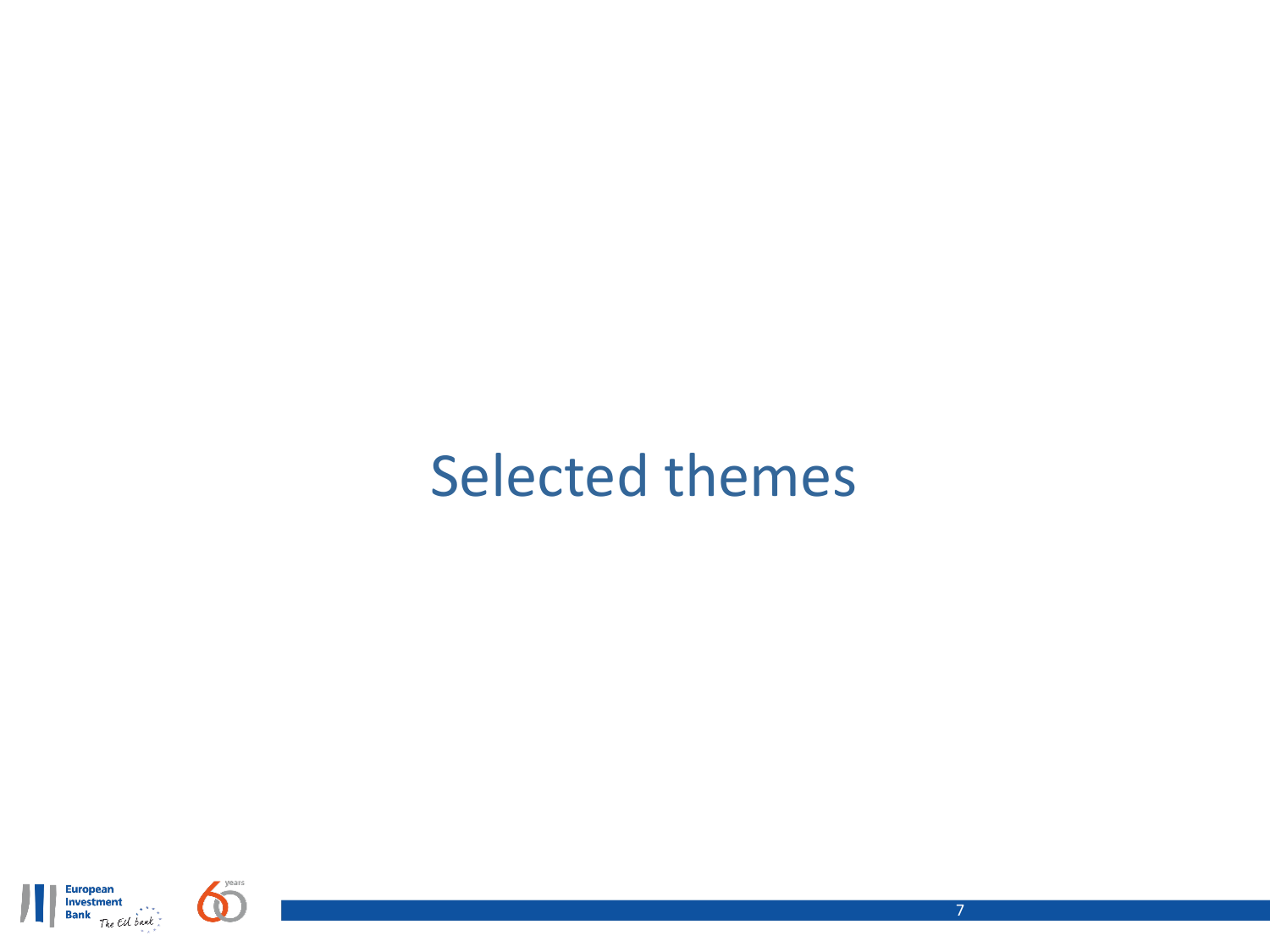## Selected themes

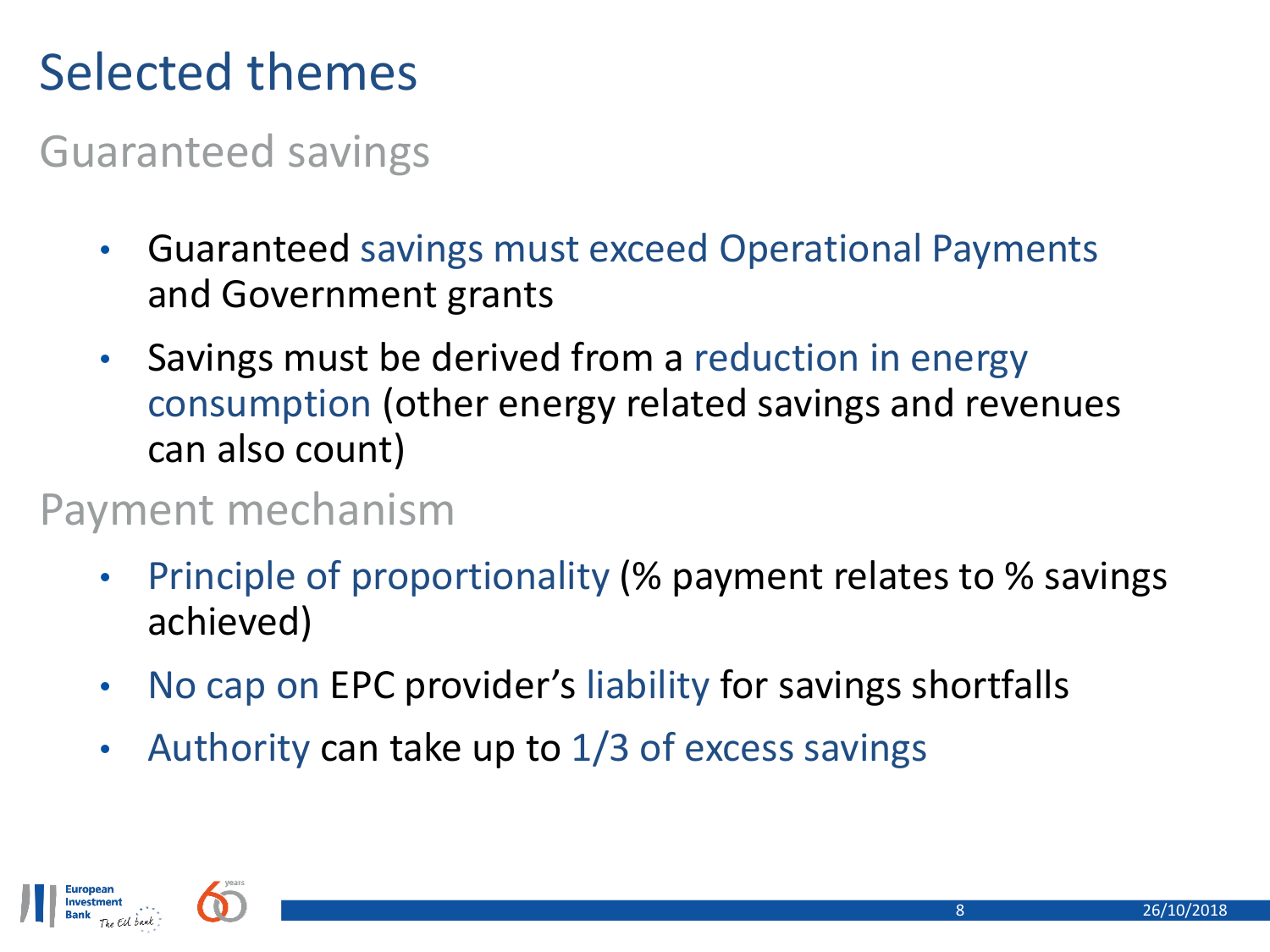## Selected themes

### Guaranteed savings

- Guaranteed savings must exceed Operational Payments and Government grants
- Savings must be derived from a reduction in energy consumption (other energy related savings and revenues can also count)

### Payment mechanism

- Principle of proportionality (% payment relates to % savings achieved)
- No cap on EPC provider's liability for savings shortfalls
- Authority can take up to  $1/3$  of excess savings

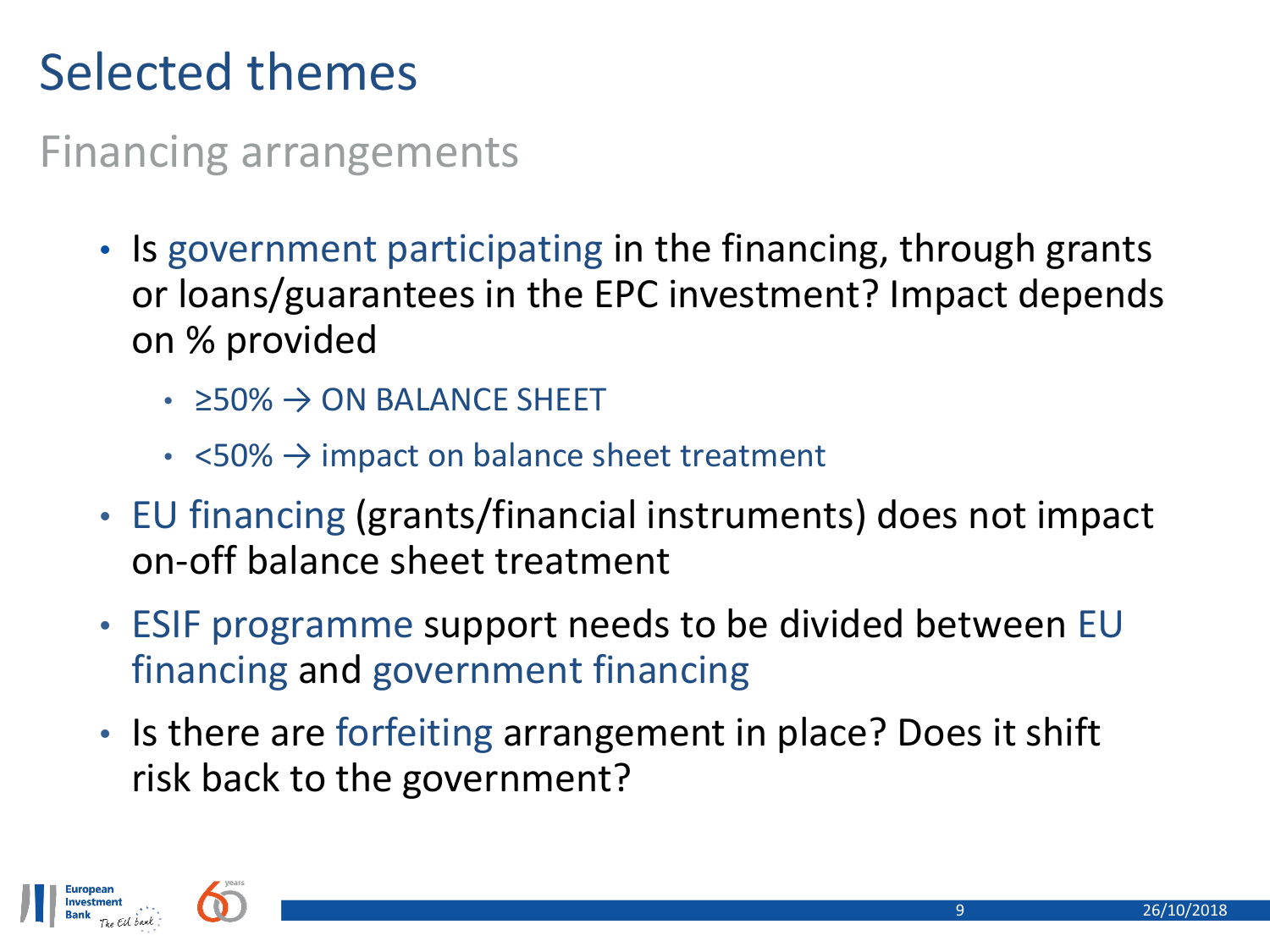## Selected themes

Financing arrangements

- Is government participating in the financing, through grants or loans/guarantees in the EPC investment? Impact depends on % provided
	- $\cdot$   $\geq$  50%  $\rightarrow$  ON BALANCE SHEET
	- $\leq 50\%$   $\rightarrow$  impact on balance sheet treatment
- EU financing (grants/financial instruments) does not impact on-off balance sheet treatment
- ESIF programme support needs to be divided between EU financing and government financing
- Is there are forfeiting arrangement in place? Does it shift risk back to the government?

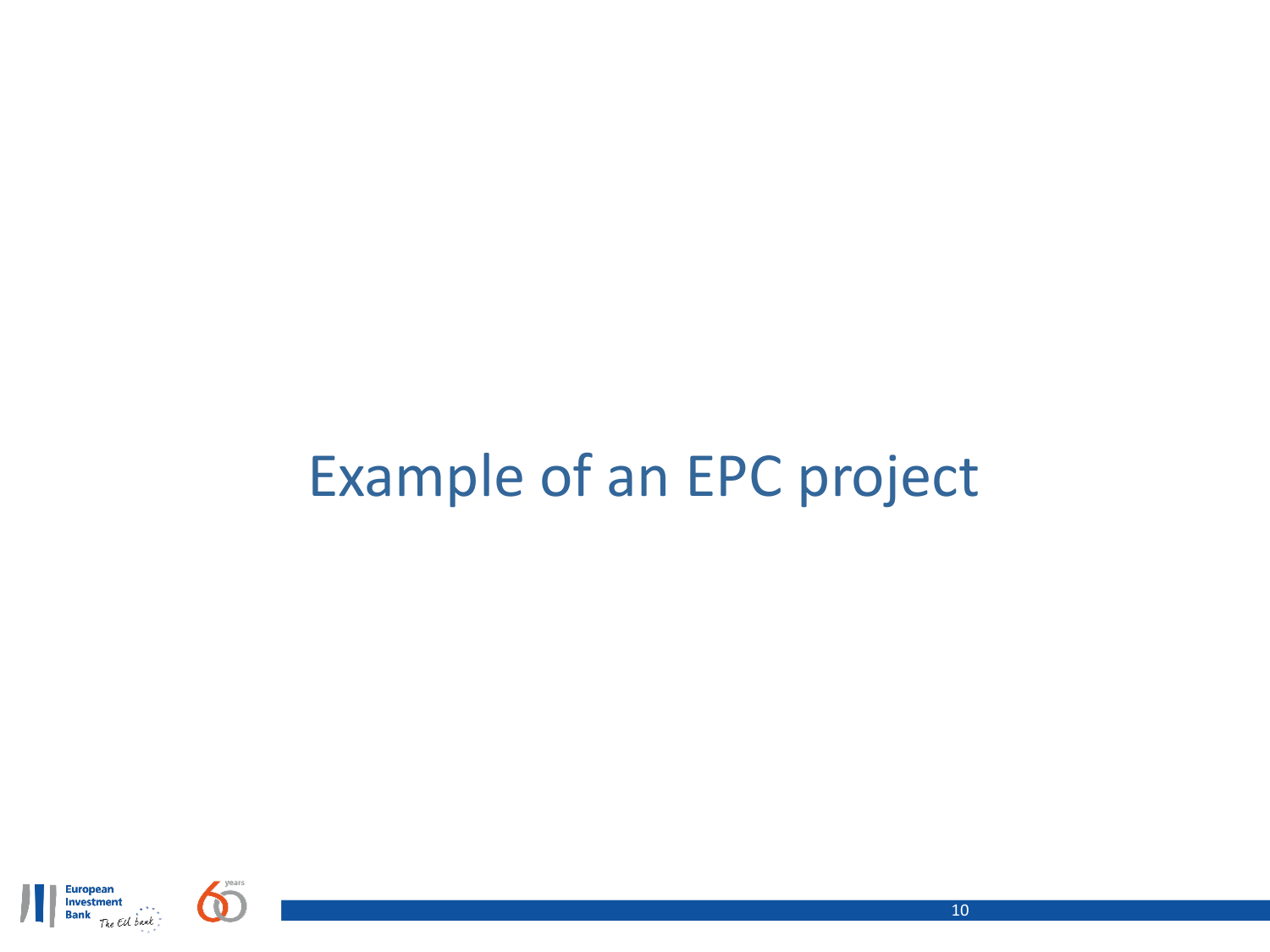# Example of an EPC project



10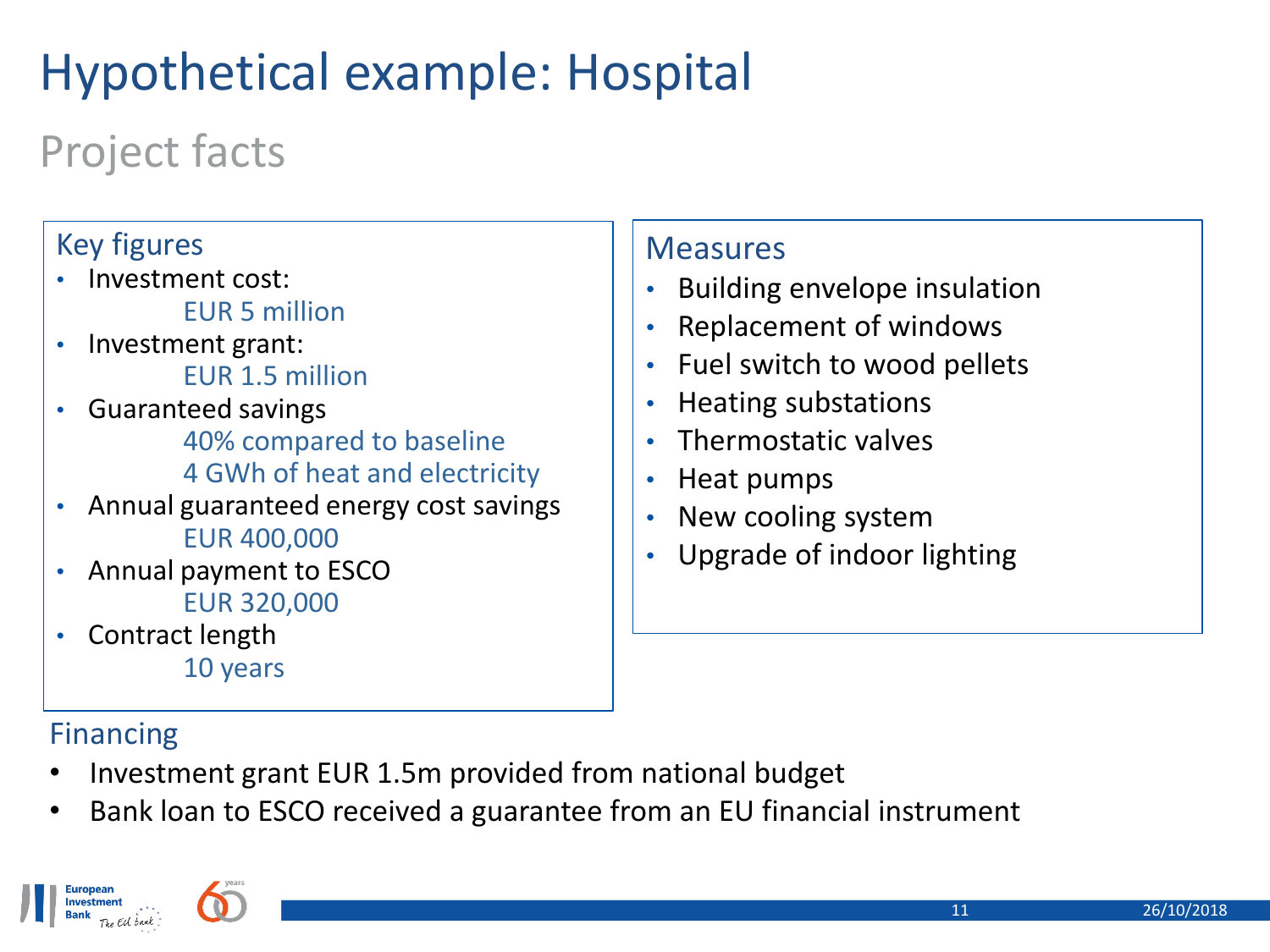## Hypothetical example: Hospital

## Project facts

#### Key figures • Investment cost: EUR 5 million • Investment grant: EUR 1.5 million • Guaranteed savings 40% compared to baseline 4 GWh of heat and electricity • Annual guaranteed energy cost savings EUR 400,000 • Annual payment to ESCO EUR 320,000 • Contract length

10 years

#### Financing

- Investment grant EUR 1.5m provided from national budget
- Bank loan to ESCO received a guarantee from an EU financial instrument

**Measures** 

• Building envelope insulation

• Replacement of windows

• Fuel switch to wood pellets

• Upgrade of indoor lighting

• Heating substations

• New cooling system

• Heat pumps

• Thermostatic valves

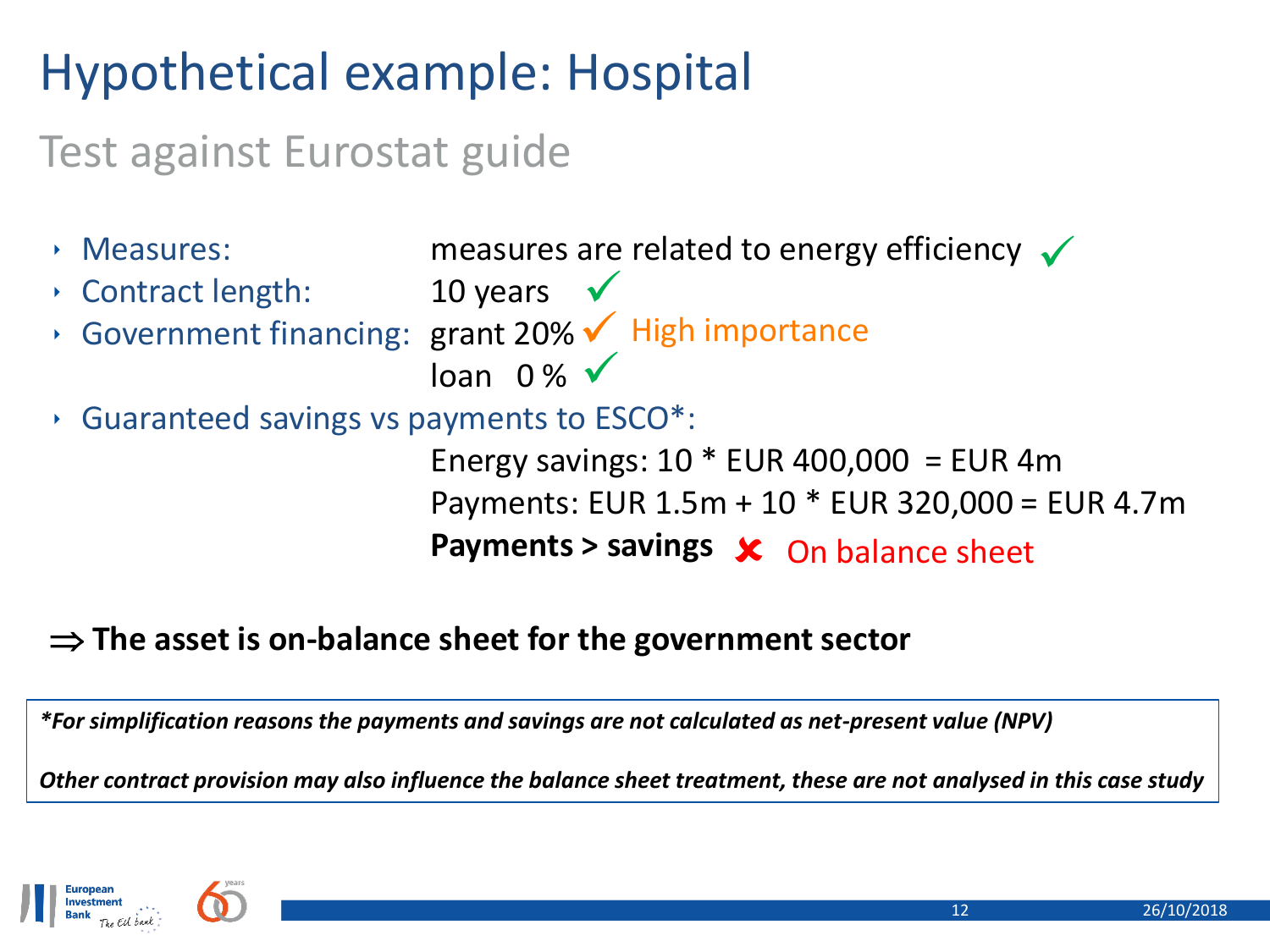## Hypothetical example: Hospital

### Test against Eurostat guide

 $\cdot$  Measures: measures are related to energy efficiency  $\checkmark$  $\cdot$  Contract length: 10 years  $\checkmark$ ‣ Government financing: grant 20% High importance  $\overline{\text{loan}}$  0%  $\checkmark$ ‣ Guaranteed savings vs payments to ESCO\*: Energy savings:  $10 *$  EUR 400,000 = EUR 4m Payments: EUR 1.5m + 10 \* EUR 320,000 = EUR 4.7m Payments > savings  $\sqrt{\phantom{a}}$  On balance sheet

#### **The asset is on-balance sheet for the government sector**

*\*For simplification reasons the payments and savings are not calculated as net-present value (NPV)*

*Other contract provision may also influence the balance sheet treatment, these are not analysed in this case study*

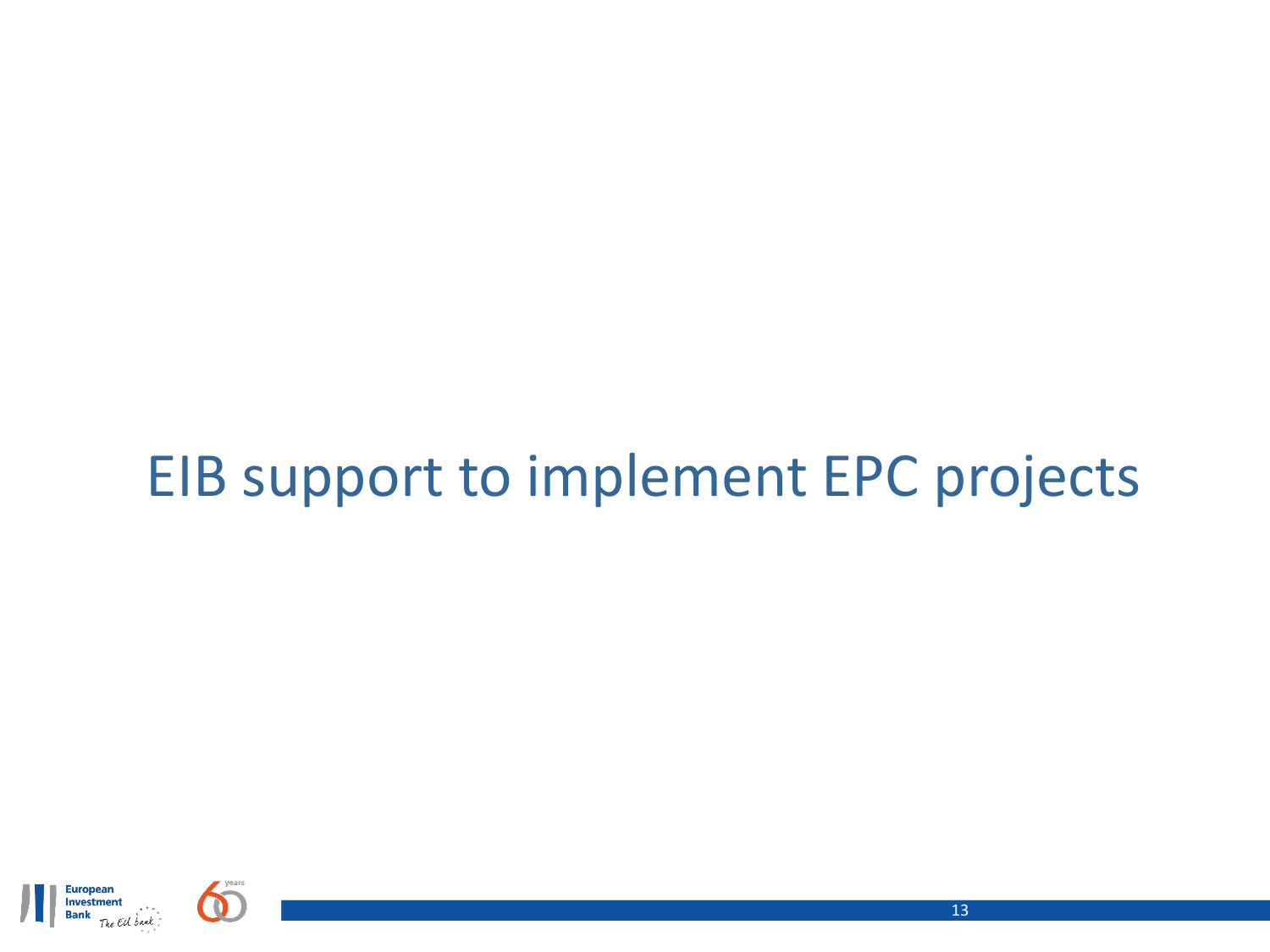## EIB support to implement EPC projects

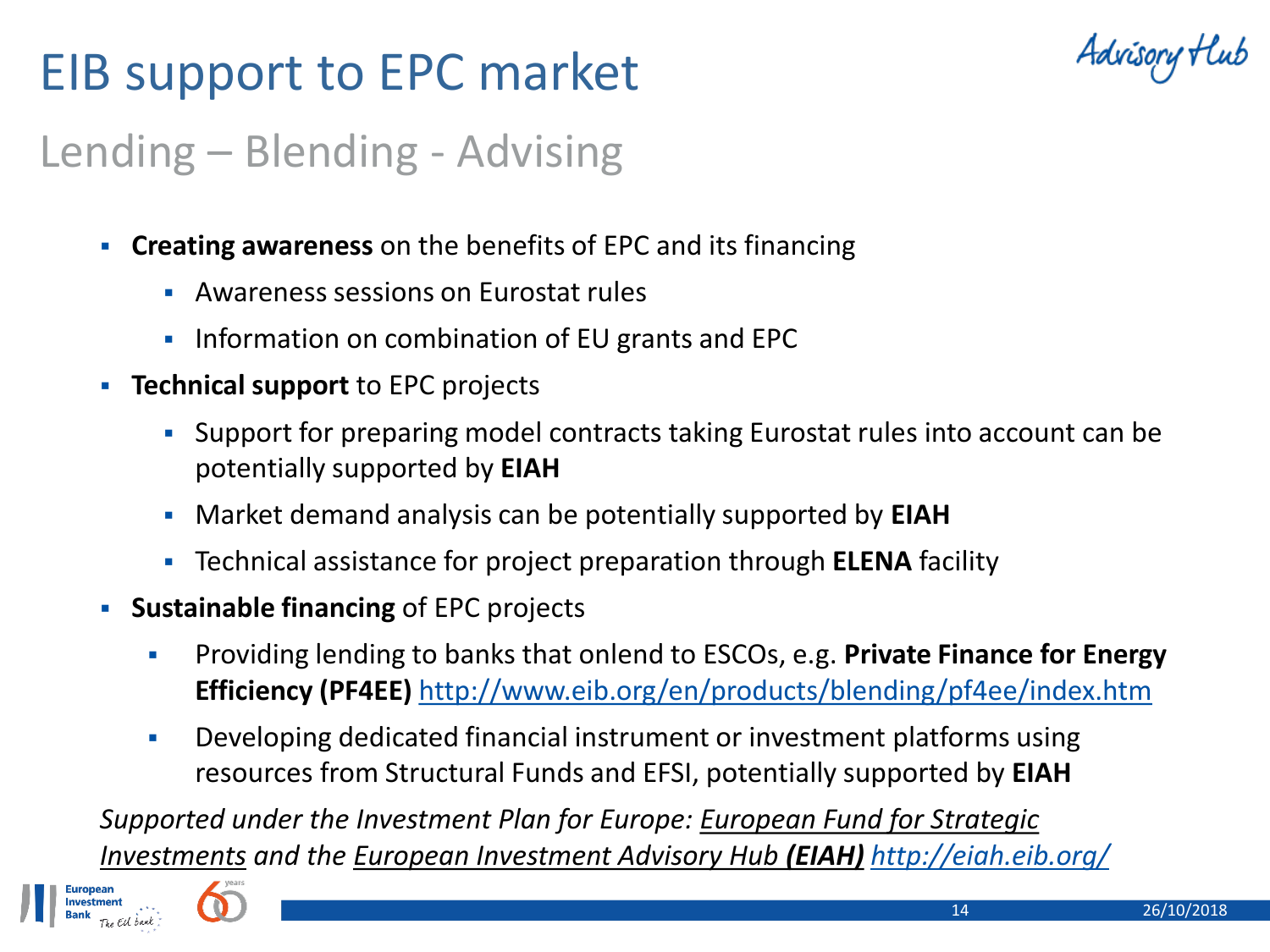## EIB support to EPC market



### Lending – Blending - Advising

- **Creating awareness** on the benefits of EPC and its financing
	- Awareness sessions on Eurostat rules
	- **Information on combination of EU grants and EPC**
- **Technical support** to EPC projects
	- Support for preparing model contracts taking Eurostat rules into account can be potentially supported by **EIAH**
	- Market demand analysis can be potentially supported by **EIAH**
	- Technical assistance for project preparation through **ELENA** facility
- **Sustainable financing** of EPC projects
	- Providing lending to banks that onlend to ESCOs, e.g. **Private Finance for Energy Efficiency (PF4EE)** <http://www.eib.org/en/products/blending/pf4ee/index.htm>
	- Developing dedicated financial instrument or investment platforms using resources from Structural Funds and EFSI, potentially supported by **EIAH**

*Supported under the Investment Plan for Europe: European Fund for Strategic Investments and the European Investment Advisory Hub (EIAH) <http://eiah.eib.org/>*

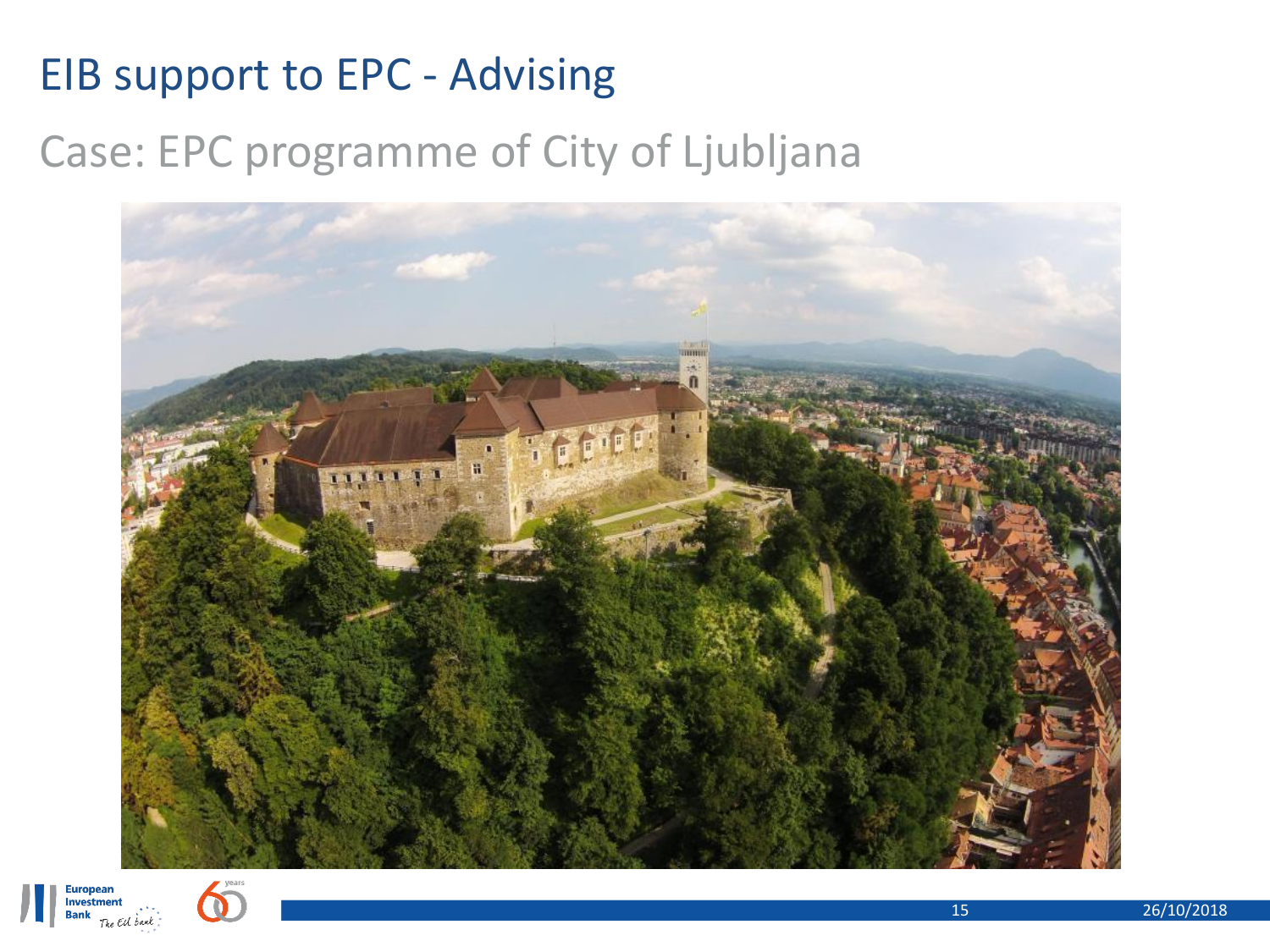### EIB support to EPC - Advising

### Case: EPC programme of City of Ljubljana





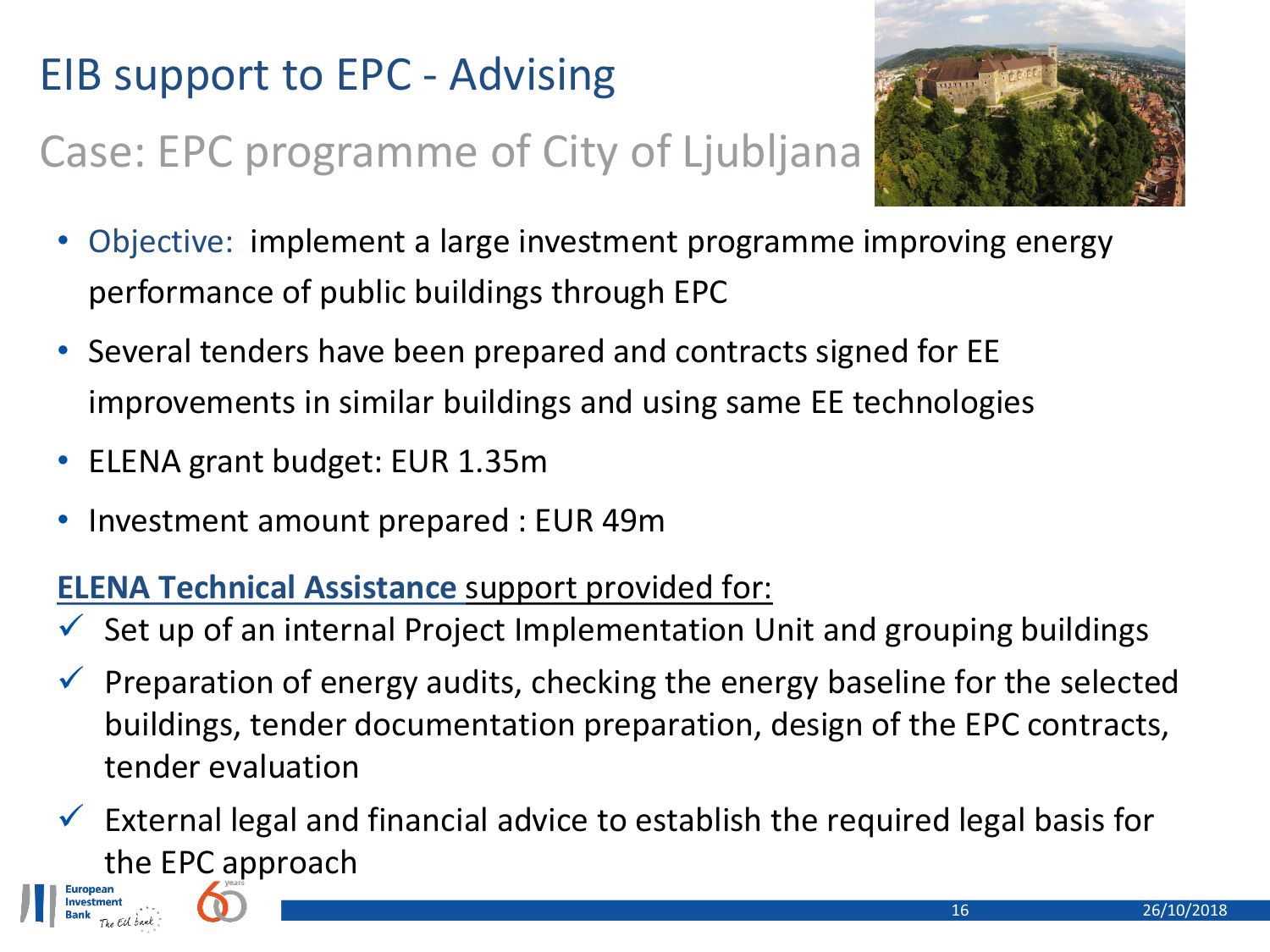## EIB support to EPC - Advising

## Case: EPC programme of City of Ljubljana



- Objective: implement a large investment programme improving energy performance of public buildings through EPC
- Several tenders have been prepared and contracts signed for EE improvements in similar buildings and using same EE technologies
- ELENA grant budget: EUR 1.35m
- Investment amount prepared : EUR 49m

#### **ELENA Technical Assistance** support provided for:

- $\checkmark$  Set up of an internal Project Implementation Unit and grouping buildings
- $\checkmark$  Preparation of energy audits, checking the energy baseline for the selected buildings, tender documentation preparation, design of the EPC contracts, tender evaluation

 $\checkmark$  External legal and financial advice to establish the required legal basis for the EPC approach